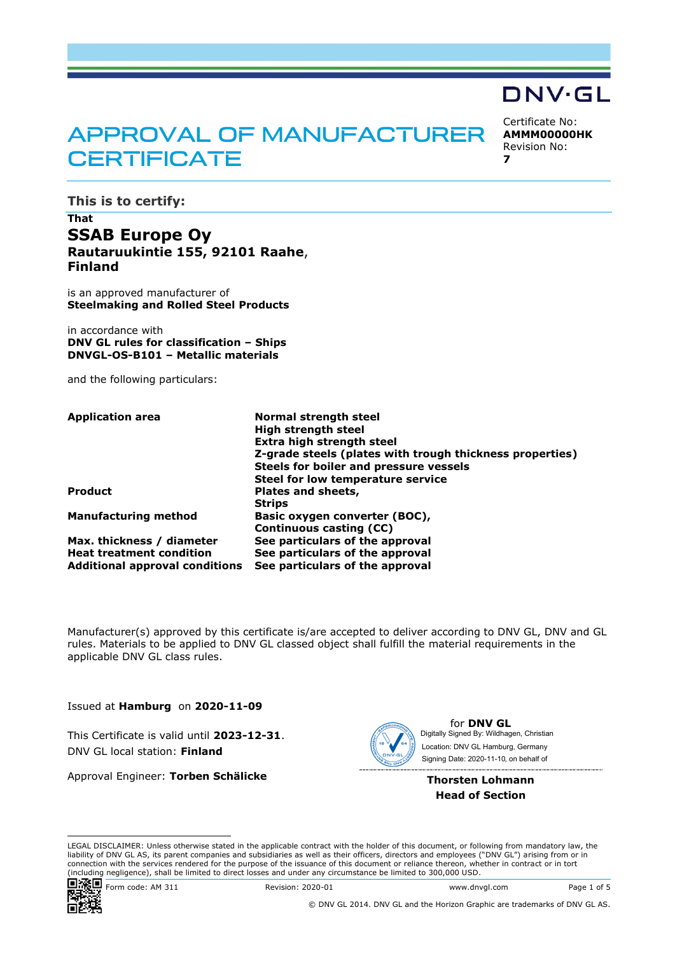# **APPROVAL OF MANUFACTURER CERTIFICATE**

**This is to certify:**

## **That SSAB Europe Oy Rautaruukintie 155, 92101 Raahe**, **Finland**

is an approved manufacturer of **Steelmaking and Rolled Steel Products**

in accordance with **DNV GL rules for classification – Ships DNVGL-OS-B101 – Metallic materials**

and the following particulars:

| <b>Application area</b>               | <b>Normal strength steel</b>                             |
|---------------------------------------|----------------------------------------------------------|
|                                       | <b>High strength steel</b>                               |
|                                       | Extra high strength steel                                |
|                                       | Z-grade steels (plates with trough thickness properties) |
|                                       | Steels for boiler and pressure vessels                   |
|                                       | Steel for low temperature service                        |
| <b>Product</b>                        | Plates and sheets,                                       |
|                                       | <b>Strips</b>                                            |
| <b>Manufacturing method</b>           | Basic oxygen converter (BOC),                            |
|                                       | Continuous casting (CC)                                  |
| Max. thickness / diameter             | See particulars of the approval                          |
| <b>Heat treatment condition</b>       | See particulars of the approval                          |
| <b>Additional approval conditions</b> | See particulars of the approval                          |

Manufacturer(s) approved by this certificate is/are accepted to deliver according to DNV GL, DNV and GL rules. Materials to be applied to DNV GL classed object shall fulfill the material requirements in the applicable DNV GL class rules.

Issued at **Hamburg** on **2020-11-09**

This Certificate is valid until **2023-12-31**. DNV GL local station: **Finland**

Approval Engineer: **Torben Schälicke**



for **DNV GL** Signing Date: 2020-11-10 , on behalf ofDigitally Signed By: Wildhagen, Christian Location: DNV GL Hamburg, Germany

Certificate No: **AMMM00000HK** Revision No:

DNV·GL

**7**

**Thorsten Lohmann Head of Section**

LEGAL DISCLAIMER: Unless otherwise stated in the applicable contract with the holder of this document, or following from mandatory law, the liability of DNV GL AS, its parent companies and subsidiaries as well as their officers, directors and employees ("DNV GL") arising from or in connection with the services rendered for the purpose of the issuance of this document or reliance thereon, whether in contract or in tort (including negligence), shall be limited to direct losses and under any circumstance be limited to 300,000 USD.



Form code: AM 311 Revision: 2020-01 www.dnvgl.com Page 1 of 5

© DNV GL 2014. DNV GL and the Horizon Graphic are trademarks of DNV GL AS.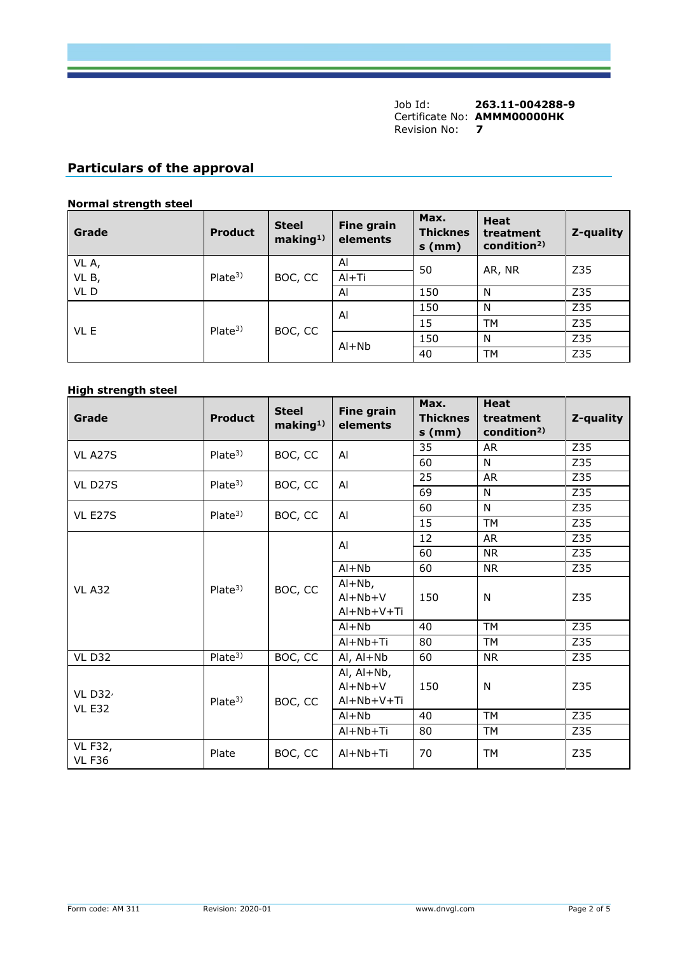## **Particulars of the approval**

#### **Normal strength steel**

| Grade | <b>Product</b>     | <b>Steel</b><br>making <sup>1</sup> | <b>Fine grain</b><br>elements | Max.<br><b>Thicknes</b><br>$s$ (mm) | <b>Heat</b><br>treatment<br>condition <sup>2)</sup> | Z-quality |  |
|-------|--------------------|-------------------------------------|-------------------------------|-------------------------------------|-----------------------------------------------------|-----------|--|
| VL A, |                    | BOC, CC                             | Al                            | 50                                  | AR, NR                                              | Z35       |  |
| VL B, | Plate <sup>3</sup> |                                     |                               | $Al+Ti$                             |                                                     |           |  |
| VLD   |                    |                                     | Al                            | 150                                 | N                                                   | Z35       |  |
| VL E  | Plate <sup>3</sup> | BOC, CC                             | Al                            | 150                                 | N                                                   | Z35       |  |
|       |                    |                                     |                               | 15                                  | <b>TM</b>                                           | Z35       |  |
|       |                    |                                     | $Al+Nb$                       | 150                                 | N                                                   | Z35       |  |
|       |                    |                                     |                               | 40                                  | TМ                                                  | Z35       |  |

#### **High strength steel**

| Grade                           | <b>Product</b>     | <b>Steel</b><br>making <sup>1</sup> | <b>Fine grain</b><br>elements | Max.<br><b>Thicknes</b><br>$s$ (mm) | <b>Heat</b><br>treatment<br>condition <sup>2)</sup> | Z-quality |
|---------------------------------|--------------------|-------------------------------------|-------------------------------|-------------------------------------|-----------------------------------------------------|-----------|
| <b>VL A27S</b>                  | Place <sup>3</sup> | BOC, CC                             | Al                            | 35                                  | <b>AR</b>                                           | Z35       |
|                                 |                    |                                     |                               | 60                                  | N                                                   | Z35       |
| VL D <sub>27</sub> S            | Place <sup>3</sup> | BOC, CC                             | Al                            | 25                                  | <b>AR</b>                                           | Z35       |
|                                 |                    |                                     |                               | 69                                  | N                                                   | Z35       |
| VL E27S                         | Plate <sup>3</sup> | BOC, CC                             | Al                            | 60                                  | N                                                   | Z35       |
|                                 |                    |                                     |                               | 15                                  | <b>TM</b>                                           | Z35       |
|                                 | Plate <sup>3</sup> | BOC, CC                             | Al                            | 12                                  | <b>AR</b>                                           | Z35       |
|                                 |                    |                                     |                               | 60                                  | <b>NR</b>                                           | Z35       |
|                                 |                    |                                     | $Al+Nb$                       | 60                                  | <b>NR</b>                                           | Z35       |
| <b>VL A32</b>                   |                    |                                     | $Al+Nb$ ,                     |                                     |                                                     |           |
|                                 |                    |                                     | $Al+Nb+V$                     | 150                                 | N                                                   | Z35       |
|                                 |                    |                                     | Al+Nb+V+Ti                    |                                     |                                                     |           |
|                                 |                    |                                     | $Al + Nb$                     | 40                                  | <b>TM</b>                                           | Z35       |
|                                 |                    |                                     | Al+Nb+Ti                      | 80                                  | <b>TM</b>                                           | Z35       |
| <b>VL D32</b>                   | Plate <sup>3</sup> | BOC, CC                             | Al, Al+Nb                     | 60                                  | <b>NR</b>                                           | Z35       |
|                                 |                    |                                     | Al, $Al+Nb$ ,                 |                                     |                                                     |           |
| VL $D32'$                       |                    |                                     | $Al+Nb+V$                     | 150                                 | N                                                   | Z35       |
| <b>VL E32</b>                   | Plate <sup>3</sup> | BOC, CC                             | Al+Nb+V+Ti                    |                                     |                                                     |           |
|                                 |                    |                                     | $Al+Nb$                       | 40                                  | <b>TM</b>                                           | Z35       |
|                                 |                    |                                     | $Al+Nb+Ti$                    | 80                                  | <b>TM</b>                                           | Z35       |
| <b>VL F32,</b><br><b>VL F36</b> | Plate              | BOC, CC                             | $Al+Nb+Ti$                    | 70                                  | <b>TM</b>                                           | Z35       |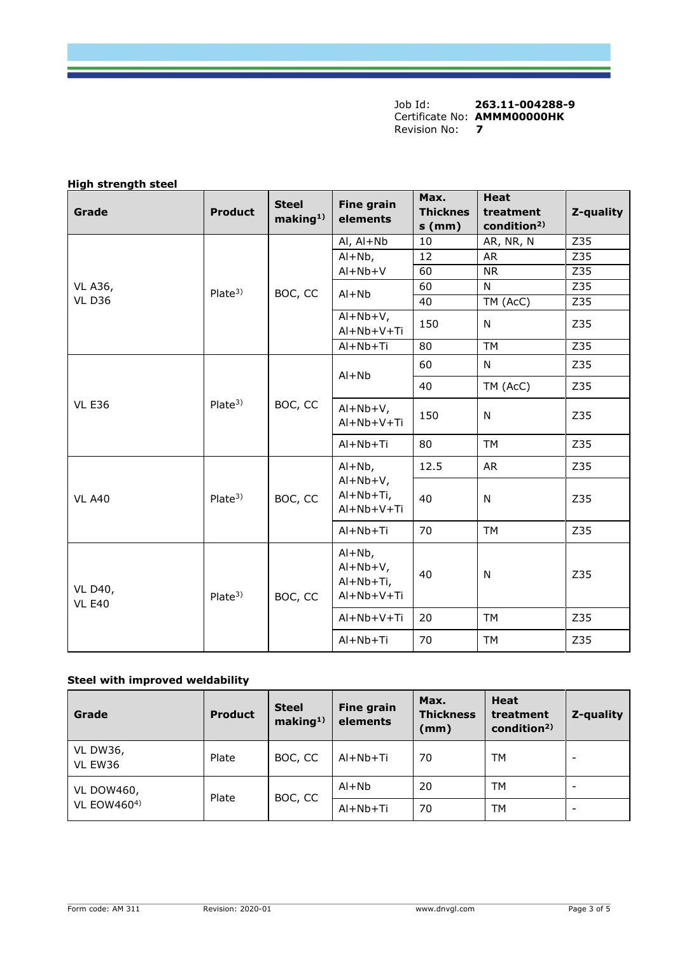## **High strength steel**

| Grade                           | <b>Product</b>     | <b>Steel</b><br>making <sup>1)</sup> | <b>Fine grain</b><br>elements                      | Max.<br><b>Thicknes</b><br>$s$ (mm)   | <b>Heat</b><br>treatment<br>condition <sup>2)</sup> | Z-quality |     |
|---------------------------------|--------------------|--------------------------------------|----------------------------------------------------|---------------------------------------|-----------------------------------------------------|-----------|-----|
|                                 |                    |                                      | $AI, AI+Nb$                                        | 10                                    | AR, NR, N                                           | Z35       |     |
|                                 |                    |                                      | $Al+Nb$ ,                                          | 12                                    | <b>AR</b>                                           | Z35       |     |
|                                 |                    |                                      | $Al+Nb+V$                                          | 60                                    | <b>NR</b>                                           | Z35       |     |
| <b>VL A36,</b>                  | Plate <sup>3</sup> | BOC, CC                              | $Al+Nb$                                            | 60                                    | N                                                   | Z35       |     |
| <b>VL D36</b>                   |                    |                                      |                                                    | 40                                    | TM (AcC)                                            | Z35       |     |
|                                 |                    |                                      | $Al+Nb+V,$<br>Al+Nb+V+Ti                           | 150                                   | N                                                   | Z35       |     |
|                                 |                    |                                      | $Al+Nb+Ti$                                         | 80                                    | <b>TM</b>                                           | Z35       |     |
|                                 |                    |                                      | $Al+Nb$                                            | 60                                    | $\mathsf{N}$                                        | Z35       |     |
|                                 | Plate <sup>3</sup> |                                      |                                                    | 40                                    | TM (AcC)                                            | Z35       |     |
| <b>VL E36</b>                   |                    | BOC, CC                              | $Al+Nb+V,$<br>Al+Nb+V+Ti                           | 150                                   | N                                                   | Z35       |     |
|                                 |                    |                                      | Al+Nb+Ti                                           | 80                                    | TM                                                  | Z35       |     |
|                                 | Plate <sup>3</sup> | BOC, CC                              | $Al+Nb$ ,                                          | 12.5                                  | <b>AR</b>                                           | Z35       |     |
| <b>VL A40</b>                   |                    |                                      |                                                    | $Al+Nb+V,$<br>Al+Nb+Ti,<br>Al+Nb+V+Ti | 40                                                  | N         | Z35 |
|                                 |                    |                                      | Al+Nb+Ti                                           | 70                                    | <b>TM</b>                                           | Z35       |     |
| <b>VL D40,</b><br><b>VL E40</b> | Plate <sup>3</sup> | BOC, CC                              | $Al+Nb$ ,<br>$Al+Nb+V,$<br>Al+Nb+Ti,<br>Al+Nb+V+Ti | 40                                    | N                                                   | Z35       |     |
|                                 |                    |                                      | Al+Nb+V+Ti                                         | 20                                    | <b>TM</b>                                           | Z35       |     |
|                                 |                    |                                      | Al+Nb+Ti                                           | 70                                    | <b>TM</b>                                           | Z35       |     |

## **Steel with improved weldability**

| Grade                                   | <b>Product</b>   | <b>Steel</b><br>making <sup>1</sup> | <b>Fine grain</b><br>elements | Max.<br><b>Thickness</b><br>(mm) | Heat<br>treatment<br>condition <sup>2)</sup> | Z-quality |
|-----------------------------------------|------------------|-------------------------------------|-------------------------------|----------------------------------|----------------------------------------------|-----------|
| <b>VL DW36,</b><br>VL EW36              | Plate            | BOC, CC                             | $Al+Nb+Ti$                    | 70                               | <b>TM</b>                                    | -         |
| <b>VL DOW460,</b><br><b>VL EOW4604)</b> | Plate<br>BOC, CC |                                     | $Al+Nb$                       | 20                               | TM                                           |           |
|                                         |                  | $AI + Nb + Ti$                      | 70                            | TM                               | $\overline{\phantom{a}}$                     |           |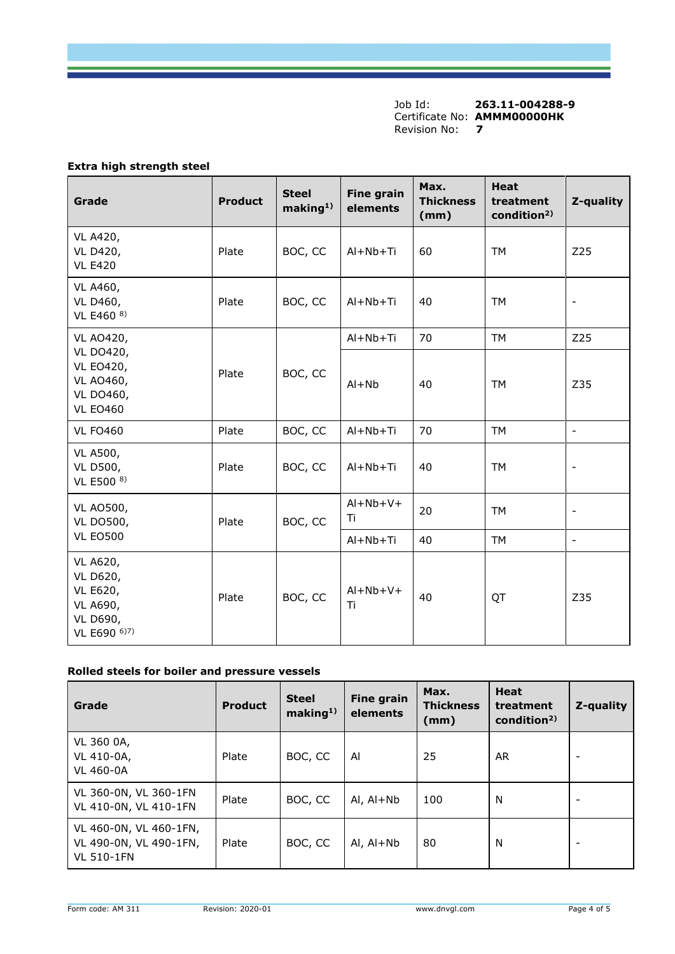#### **Extra high strength steel**

| Grade                                                                               | <b>Product</b> | <b>Steel</b><br>making <sup>1</sup> | <b>Fine grain</b><br>elements | Max.<br><b>Thickness</b><br>(mm) | <b>Heat</b><br>treatment<br>condition <sup>2)</sup> | Z-quality                    |
|-------------------------------------------------------------------------------------|----------------|-------------------------------------|-------------------------------|----------------------------------|-----------------------------------------------------|------------------------------|
| VL A420,<br>VL D420,<br><b>VL E420</b>                                              | Plate          | BOC, CC                             | $Al+Nb+Ti$                    | 60                               | <b>TM</b>                                           | Z25                          |
| VL A460,<br>VL D460,<br>VL E460 8)                                                  | Plate          | BOC, CC                             | Al+Nb+Ti                      | 40                               | <b>TM</b>                                           | $\qquad \qquad -$            |
| VL AO420,                                                                           |                |                                     | $Al+Nb+Ti$                    | 70                               | <b>TM</b>                                           | Z25                          |
| VL DO420,<br><b>VL EO420,</b><br>Plate<br>VL AO460,<br>VL DO460,<br><b>VL EO460</b> | BOC, CC        | $Al + Nb$                           | 40                            | <b>TM</b>                        | Z35                                                 |                              |
| <b>VL FO460</b>                                                                     | Plate          | BOC, CC                             | $Al+Nb+Ti$                    | 70                               | <b>TM</b>                                           | $\frac{1}{2}$                |
| VL A500,<br><b>VL D500,</b><br>VL E500 8)                                           | Plate          | BOC, CC                             | $Al+Nb+Ti$                    | 40                               | <b>TM</b>                                           | $\qquad \qquad \blacksquare$ |
| <b>VL AO500,</b><br><b>VL DO500,</b>                                                | Plate          | BOC, CC                             | $Al+Nb+V+$<br>Τi              | 20                               | <b>TM</b>                                           | $\qquad \qquad \blacksquare$ |
| <b>VL EO500</b>                                                                     |                |                                     | $Al+Nb+Ti$                    | 40                               | <b>TM</b>                                           | $\overline{\phantom{a}}$     |
| VL A620,<br>VL D620,<br>VL E620,<br>VL A690,<br>VL D690,<br>VL E690 6)7)            | Plate          | BOC, CC                             | $Al+Nb+V+$<br>Ti              | 40                               | QT                                                  | Z35                          |

#### **Rolled steels for boiler and pressure vessels**

| Grade                                                                 | <b>Product</b> | <b>Steel</b><br>making <sup>1</sup> | <b>Fine grain</b><br>elements | Max.<br><b>Thickness</b><br>(mm) | <b>Heat</b><br>treatment<br>condition <sup>2)</sup> | Z-quality                |
|-----------------------------------------------------------------------|----------------|-------------------------------------|-------------------------------|----------------------------------|-----------------------------------------------------|--------------------------|
| VL 360 0A,<br>VL 410-0A,<br><b>VL 460-0A</b>                          | Plate          | BOC, CC                             | Al                            | 25                               | AR.                                                 |                          |
| VL 360-0N, VL 360-1FN<br>VL 410-0N, VL 410-1FN                        | Plate          | BOC, CC                             | $AI, AI+Nb$                   | 100                              | N                                                   | $\overline{\phantom{0}}$ |
| VL 460-0N, VL 460-1FN,<br>VL 490-0N, VL 490-1FN,<br><b>VL 510-1FN</b> | Plate          | BOC, CC                             | Al, Al+Nb                     | 80                               | N                                                   |                          |